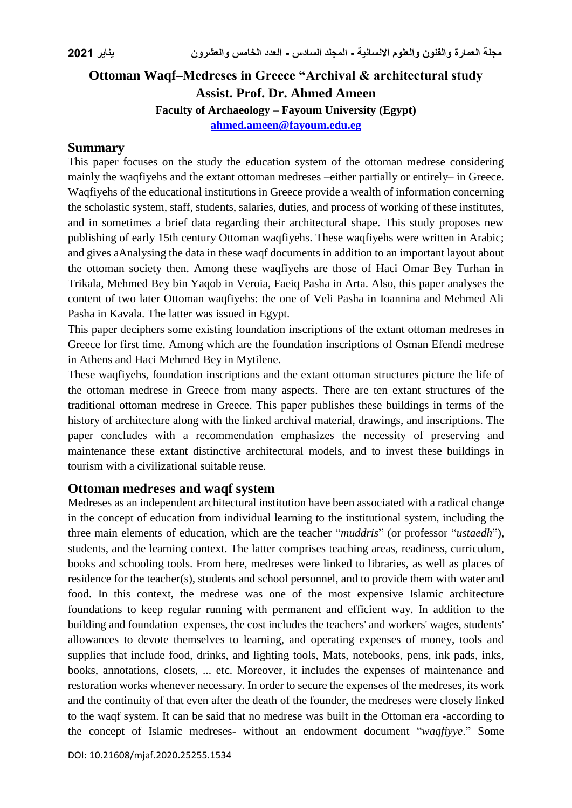# **Ottoman Waqf–Medreses in Greece "Archival & architectural study Assist. Prof. Dr. Ahmed Ameen Faculty of Archaeology – Fayoum University (Egypt) [ahmed.ameen@fayoum.edu.eg](mailto:ahmed.ameen@fayoum.edu.eg)**

### **Summary**

This paper focuses on the study the education system of the ottoman medrese considering mainly the waqfiyehs and the extant ottoman medreses –either partially or entirely– in Greece. Waqfiyehs of the educational institutions in Greece provide a wealth of information concerning the scholastic system, staff, students, salaries, duties, and process of working of these institutes, and in sometimes a brief data regarding their architectural shape. This study proposes new publishing of early 15th century Ottoman waqfiyehs. These waqfiyehs were written in Arabic; and gives aAnalysing the data in these waqf documents in addition to an important layout about the ottoman society then. Among these waqfiyehs are those of Haci Omar Bey Turhan in Trikala, Mehmed Bey bin Yaqob in Veroia, Faeiq Pasha in Arta. Also, this paper analyses the content of two later Ottoman waqfiyehs: the one of Veli Pasha in Ioannina and Mehmed Ali Pasha in Kavala. The latter was issued in Egypt.

This paper deciphers some existing foundation inscriptions of the extant ottoman medreses in Greece for first time. Among which are the foundation inscriptions of Osman Efendi medrese in Athens and Haci Mehmed Bey in Mytilene.

These waqfiyehs, foundation inscriptions and the extant ottoman structures picture the life of the ottoman medrese in Greece from many aspects. There are ten extant structures of the traditional ottoman medrese in Greece. This paper publishes these buildings in terms of the history of architecture along with the linked archival material, drawings, and inscriptions. The paper concludes with a recommendation emphasizes the necessity of preserving and maintenance these extant distinctive architectural models, and to invest these buildings in tourism with a civilizational suitable reuse.

### **Ottoman medreses and waqf system**

Medreses as an independent architectural institution have been associated with a radical change in the concept of education from individual learning to the institutional system, including the three main elements of education, which are the teacher "*muddris*" (or professor "*ustaedh*"), students, and the learning context. The latter comprises teaching areas, readiness, curriculum, books and schooling tools. From here, medreses were linked to libraries, as well as places of residence for the teacher(s), students and school personnel, and to provide them with water and food. In this context, the medrese was one of the most expensive Islamic architecture foundations to keep regular running with permanent and efficient way. In addition to the building and foundation expenses, the cost includes the teachers' and workers' wages, students' allowances to devote themselves to learning, and operating expenses of money, tools and supplies that include food, drinks, and lighting tools, Mats, notebooks, pens, ink pads, inks, books, annotations, closets, ... etc. Moreover, it includes the expenses of maintenance and restoration works whenever necessary. In order to secure the expenses of the medreses, its work and the continuity of that even after the death of the founder, the medreses were closely linked to the waqf system. It can be said that no medrese was built in the Ottoman era -according to the concept of Islamic medreses- without an endowment document "*waqfiyye*." Some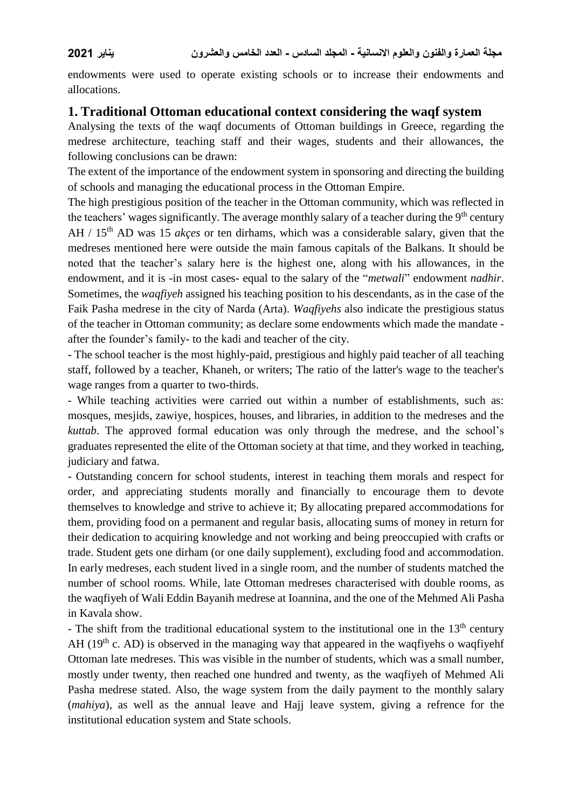endowments were used to operate existing schools or to increase their endowments and allocations.

### **1. Traditional Ottoman educational context considering the waqf system**

Analysing the texts of the waqf documents of Ottoman buildings in Greece, regarding the medrese architecture, teaching staff and their wages, students and their allowances, the following conclusions can be drawn:

The extent of the importance of the endowment system in sponsoring and directing the building of schools and managing the educational process in the Ottoman Empire.

The high prestigious position of the teacher in the Ottoman community, which was reflected in the teachers' wages significantly. The average monthly salary of a teacher during the  $9<sup>th</sup>$  century AH / 15th AD was 15 *akçes* or ten dirhams, which was a considerable salary, given that the medreses mentioned here were outside the main famous capitals of the Balkans. It should be noted that the teacher's salary here is the highest one, along with his allowances, in the endowment, and it is -in most cases- equal to the salary of the "*metwali*" endowment *nadhir*. Sometimes, the *waqfiyeh* assigned his teaching position to his descendants, as in the case of the Faik Pasha medrese in the city of Narda (Arta). *Waqfiyehs* also indicate the prestigious status of the teacher in Ottoman community; as declare some endowments which made the mandate after the founder's family- to the kadi and teacher of the city.

- The school teacher is the most highly-paid, prestigious and highly paid teacher of all teaching staff, followed by a teacher, Khaneh, or writers; The ratio of the latter's wage to the teacher's wage ranges from a quarter to two-thirds.

- While teaching activities were carried out within a number of establishments, such as: mosques, mesjids, zawiye, hospices, houses, and libraries, in addition to the medreses and the *kuttab*. The approved formal education was only through the medrese, and the school's graduates represented the elite of the Ottoman society at that time, and they worked in teaching, judiciary and fatwa.

- Outstanding concern for school students, interest in teaching them morals and respect for order, and appreciating students morally and financially to encourage them to devote themselves to knowledge and strive to achieve it; By allocating prepared accommodations for them, providing food on a permanent and regular basis, allocating sums of money in return for their dedication to acquiring knowledge and not working and being preoccupied with crafts or trade. Student gets one dirham (or one daily supplement), excluding food and accommodation. In early medreses, each student lived in a single room, and the number of students matched the number of school rooms. While, late Ottoman medreses characterised with double rooms, as the waqfiyeh of Wali Eddin Bayanih medrese at Ioannina, and the one of the Mehmed Ali Pasha in Kavala show.

- The shift from the traditional educational system to the institutional one in the 13<sup>th</sup> century AH  $(19<sup>th</sup>$  c. AD) is observed in the managing way that appeared in the waq fively o waq fivelength Ottoman late medreses. This was visible in the number of students, which was a small number, mostly under twenty, then reached one hundred and twenty, as the waqfiyeh of Mehmed Ali Pasha medrese stated. Also, the wage system from the daily payment to the monthly salary (*mahiya*), as well as the annual leave and Hajj leave system, giving a refrence for the institutional education system and State schools.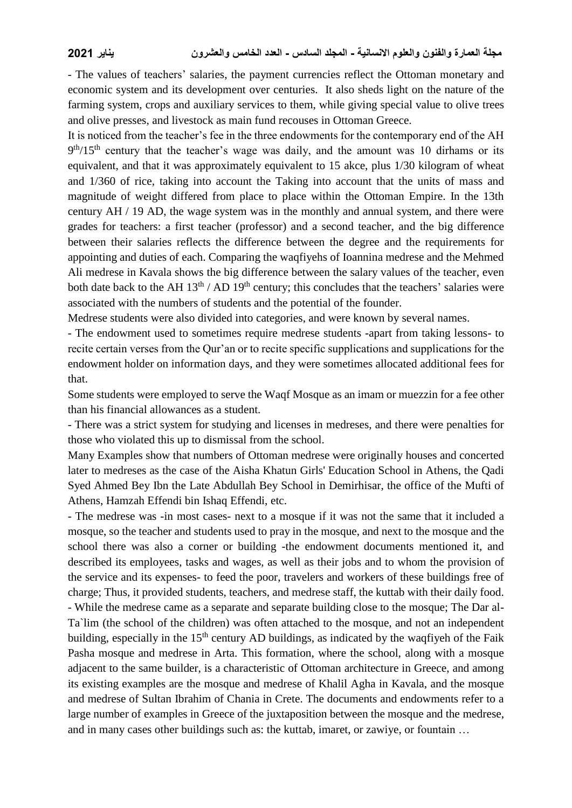- The values of teachers' salaries, the payment currencies reflect the Ottoman monetary and economic system and its development over centuries. It also sheds light on the nature of the farming system, crops and auxiliary services to them, while giving special value to olive trees and olive presses, and livestock as main fund recouses in Ottoman Greece.

It is noticed from the teacher's fee in the three endowments for the contemporary end of the AH 9<sup>th</sup>/15<sup>th</sup> century that the teacher's wage was daily, and the amount was 10 dirhams or its equivalent, and that it was approximately equivalent to 15 akce, plus 1/30 kilogram of wheat and 1/360 of rice, taking into account the Taking into account that the units of mass and magnitude of weight differed from place to place within the Ottoman Empire. In the 13th century AH / 19 AD, the wage system was in the monthly and annual system, and there were grades for teachers: a first teacher (professor) and a second teacher, and the big difference between their salaries reflects the difference between the degree and the requirements for appointing and duties of each. Comparing the waqfiyehs of Ioannina medrese and the Mehmed Ali medrese in Kavala shows the big difference between the salary values of the teacher, even both date back to the AH  $13<sup>th</sup>$  / AD  $19<sup>th</sup>$  century; this concludes that the teachers' salaries were associated with the numbers of students and the potential of the founder.

Medrese students were also divided into categories, and were known by several names.

- The endowment used to sometimes require medrese students -apart from taking lessons- to recite certain verses from the Qur'an or to recite specific supplications and supplications for the endowment holder on information days, and they were sometimes allocated additional fees for that.

Some students were employed to serve the Waqf Mosque as an imam or muezzin for a fee other than his financial allowances as a student.

- There was a strict system for studying and licenses in medreses, and there were penalties for those who violated this up to dismissal from the school.

Many Examples show that numbers of Ottoman medrese were originally houses and concerted later to medreses as the case of the Aisha Khatun Girls' Education School in Athens, the Qadi Syed Ahmed Bey Ibn the Late Abdullah Bey School in Demirhisar, the office of the Mufti of Athens, Hamzah Effendi bin Ishaq Effendi, etc.

- The medrese was -in most cases- next to a mosque if it was not the same that it included a mosque, so the teacher and students used to pray in the mosque, and next to the mosque and the school there was also a corner or building -the endowment documents mentioned it, and described its employees, tasks and wages, as well as their jobs and to whom the provision of the service and its expenses- to feed the poor, travelers and workers of these buildings free of charge; Thus, it provided students, teachers, and medrese staff, the kuttab with their daily food. - While the medrese came as a separate and separate building close to the mosque; The Dar al-Ta`lim (the school of the children) was often attached to the mosque, and not an independent building, especially in the  $15<sup>th</sup>$  century AD buildings, as indicated by the waqfiyeh of the Faik Pasha mosque and medrese in Arta. This formation, where the school, along with a mosque adjacent to the same builder, is a characteristic of Ottoman architecture in Greece, and among its existing examples are the mosque and medrese of Khalil Agha in Kavala, and the mosque and medrese of Sultan Ibrahim of Chania in Crete. The documents and endowments refer to a large number of examples in Greece of the juxtaposition between the mosque and the medrese, and in many cases other buildings such as: the kuttab, imaret, or zawiye, or fountain …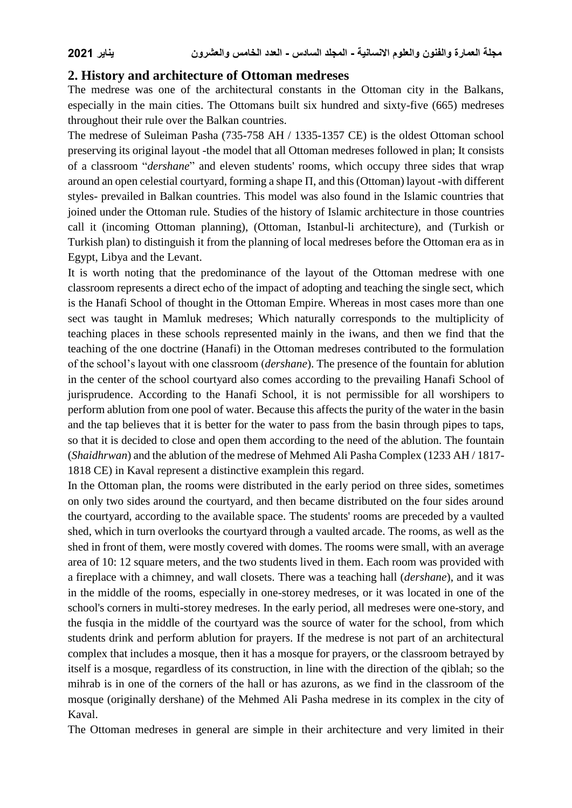### **2. History and architecture of Ottoman medreses**

The medrese was one of the architectural constants in the Ottoman city in the Balkans, especially in the main cities. The Ottomans built six hundred and sixty-five (665) medreses throughout their rule over the Balkan countries.

The medrese of Suleiman Pasha (735-758 AH / 1335-1357 CE) is the oldest Ottoman school preserving its original layout -the model that all Ottoman medreses followed in plan; It consists of a classroom "*dershane*" and eleven students' rooms, which occupy three sides that wrap around an open celestial courtyard, forming a shape Π, and this (Ottoman) layout -with different styles- prevailed in Balkan countries. This model was also found in the Islamic countries that joined under the Ottoman rule. Studies of the history of Islamic architecture in those countries call it (incoming Ottoman planning), (Ottoman, Istanbul-li architecture), and (Turkish or Turkish plan) to distinguish it from the planning of local medreses before the Ottoman era as in Egypt, Libya and the Levant.

It is worth noting that the predominance of the layout of the Ottoman medrese with one classroom represents a direct echo of the impact of adopting and teaching the single sect, which is the Hanafi School of thought in the Ottoman Empire. Whereas in most cases more than one sect was taught in Mamluk medreses; Which naturally corresponds to the multiplicity of teaching places in these schools represented mainly in the iwans, and then we find that the teaching of the one doctrine (Hanafi) in the Ottoman medreses contributed to the formulation of the school's layout with one classroom (*dershane*). The presence of the fountain for ablution in the center of the school courtyard also comes according to the prevailing Hanafi School of jurisprudence. According to the Hanafi School, it is not permissible for all worshipers to perform ablution from one pool of water. Because this affects the purity of the water in the basin and the tap believes that it is better for the water to pass from the basin through pipes to taps, so that it is decided to close and open them according to the need of the ablution. The fountain (*Shaidhrwan*) and the ablution of the medrese of Mehmed Ali Pasha Complex (1233 AH / 1817- 1818 CE) in Kaval represent a distinctive examplein this regard.

In the Ottoman plan, the rooms were distributed in the early period on three sides, sometimes on only two sides around the courtyard, and then became distributed on the four sides around the courtyard, according to the available space. The students' rooms are preceded by a vaulted shed, which in turn overlooks the courtyard through a vaulted arcade. The rooms, as well as the shed in front of them, were mostly covered with domes. The rooms were small, with an average area of 10: 12 square meters, and the two students lived in them. Each room was provided with a fireplace with a chimney, and wall closets. There was a teaching hall (*dershane*), and it was in the middle of the rooms, especially in one-storey medreses, or it was located in one of the school's corners in multi-storey medreses. In the early period, all medreses were one-story, and the fusqia in the middle of the courtyard was the source of water for the school, from which students drink and perform ablution for prayers. If the medrese is not part of an architectural complex that includes a mosque, then it has a mosque for prayers, or the classroom betrayed by itself is a mosque, regardless of its construction, in line with the direction of the qiblah; so the mihrab is in one of the corners of the hall or has azurons, as we find in the classroom of the mosque (originally dershane) of the Mehmed Ali Pasha medrese in its complex in the city of Kaval.

The Ottoman medreses in general are simple in their architecture and very limited in their